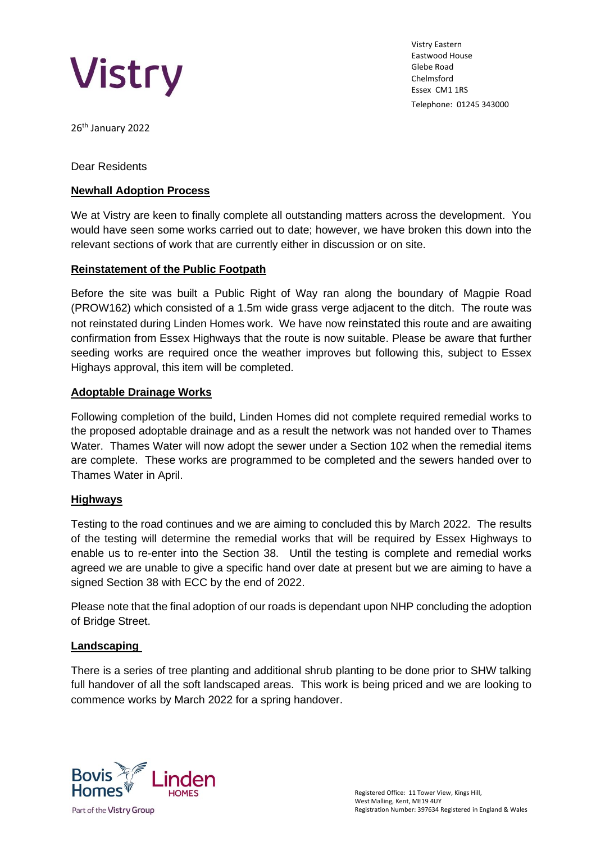

Vistry Eastern Eastwood House Glebe Road Chelmsford Essex CM1 1RS Telephone: 01245 343000

26<sup>th</sup> January 2022

Dear Residents

## **Newhall Adoption Process**

We at Vistry are keen to finally complete all outstanding matters across the development. You would have seen some works carried out to date; however, we have broken this down into the relevant sections of work that are currently either in discussion or on site.

### **Reinstatement of the Public Footpath**

Before the site was built a Public Right of Way ran along the boundary of Magpie Road (PROW162) which consisted of a 1.5m wide grass verge adjacent to the ditch. The route was not reinstated during Linden Homes work. We have now reinstated this route and are awaiting confirmation from Essex Highways that the route is now suitable. Please be aware that further seeding works are required once the weather improves but following this, subject to Essex Highays approval, this item will be completed.

### **Adoptable Drainage Works**

Following completion of the build, Linden Homes did not complete required remedial works to the proposed adoptable drainage and as a result the network was not handed over to Thames Water. Thames Water will now adopt the sewer under a Section 102 when the remedial items are complete. These works are programmed to be completed and the sewers handed over to Thames Water in April.

# **Highways**

Testing to the road continues and we are aiming to concluded this by March 2022. The results of the testing will determine the remedial works that will be required by Essex Highways to enable us to re-enter into the Section 38. Until the testing is complete and remedial works agreed we are unable to give a specific hand over date at present but we are aiming to have a signed Section 38 with ECC by the end of 2022.

Please note that the final adoption of our roads is dependant upon NHP concluding the adoption of Bridge Street.

#### **Landscaping**

There is a series of tree planting and additional shrub planting to be done prior to SHW talking full handover of all the soft landscaped areas. This work is being priced and we are looking to commence works by March 2022 for a spring handover.